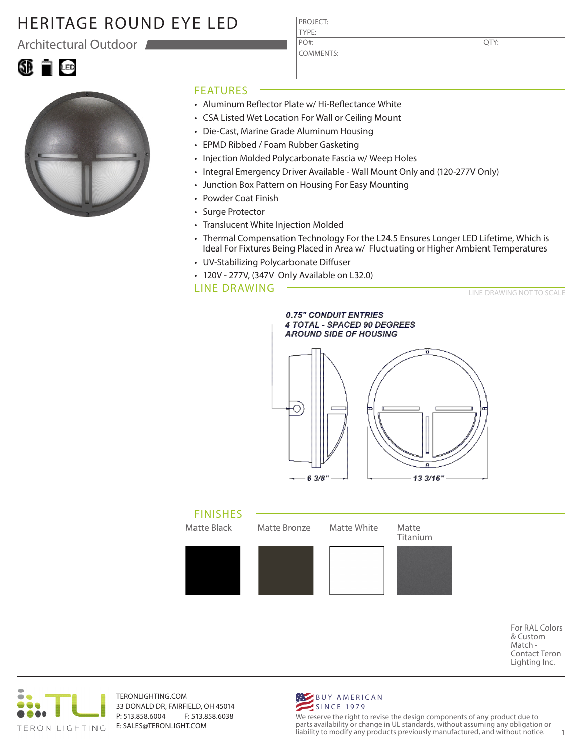Architectural Outdoor





#### FEATURES

• Aluminum Reflector Plate w/ Hi-Reflectance White

PROJECT: TYPE:

PO#:

COMMENTS:

- CSA Listed Wet Location For Wall or Ceiling Mount
- Die-Cast, Marine Grade Aluminum Housing
- EPMD Ribbed / Foam Rubber Gasketing
- Injection Molded Polycarbonate Fascia w/ Weep Holes
- Integral Emergency Driver Available Wall Mount Only and (120-277V Only)
- Junction Box Pattern on Housing For Easy Mounting
- Powder Coat Finish
- Surge Protector
- Translucent White Injection Molded
- Thermal Compensation Technology For the L24.5 Ensures Longer LED Lifetime, Which is Ideal For Fixtures Being Placed in Area w/ Fluctuating or Higher Ambient Temperatures
- UV-Stabilizing Polycarbonate Diffuser
- 120V 277V, (347V Only Available on L32.0)

#### LINE DRAWING

LINE DRAWING NOT TO SCALE





For RAL Colors & Custom Match - Contact Teron Lighting Inc.



TERONLIGHTING.COM 33 DONALD DR, FAIRFIELD, OH 45014 P: 513.858.6004 F: 513.858.6038 E: SALES@TERONLIGHT.COM



We reserve the right to revise the design components of any product due to parts availability or change in UL standards, without assuming any obligation or liability to modify any products previously manufactured, and without notice. 1

QTY: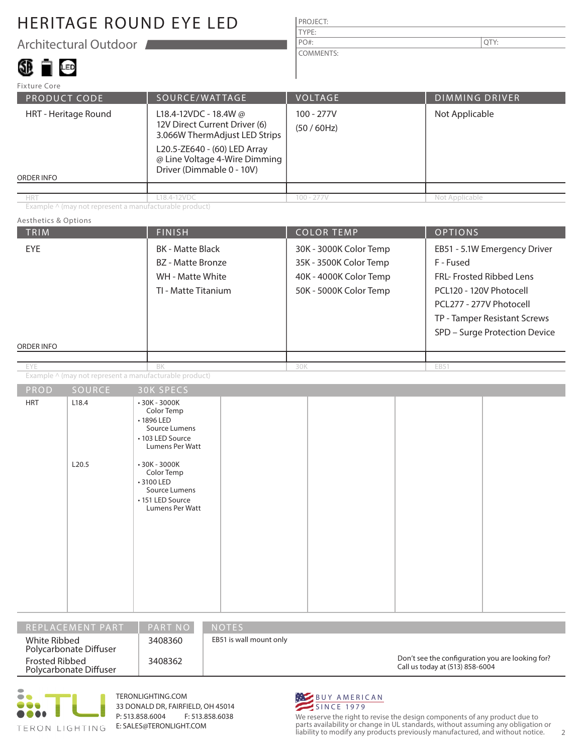Architectural Outdoor

# SI D

| <b>PROJECT:</b> |      |
|-----------------|------|
| <b>TYPE:</b>    |      |
| $PO#$ :         | QTY: |
| COMMENTS:       |      |

| Fixture Core                              |                                                                                                                                                                                       |                         |                       |
|-------------------------------------------|---------------------------------------------------------------------------------------------------------------------------------------------------------------------------------------|-------------------------|-----------------------|
| PRODUCT CODE                              | SOURCE/WATTAGE                                                                                                                                                                        | <b>VOLTAGE</b>          | <b>DIMMING DRIVER</b> |
| HRT - Heritage Round<br><b>ORDER INFO</b> | L18.4-12VDC - 18.4W @<br>12V Direct Current Driver (6)<br>3.066W ThermAdjust LED Strips<br>L20.5-ZE640 - (60) LED Array<br>@ Line Voltage 4-Wire Dimming<br>Driver (Dimmable 0 - 10V) | 100 - 277V<br>(50/60Hz) | Not Applicable        |
|                                           |                                                                                                                                                                                       |                         |                       |
| <b>HRT</b>                                | L18.4-12VDC                                                                                                                                                                           | $100 - 277V$            | Not Applicable        |

Example ^ (may not represent a manufacturable product)

#### Aesthetics & Options

| TRIM               |                | <b>FINISH</b>                                                                                                                                                                                          | <b>COLOR TEMP</b>                                                                                    | <b>OPTIONS</b>                                                                                                                                                                               |  |
|--------------------|----------------|--------------------------------------------------------------------------------------------------------------------------------------------------------------------------------------------------------|------------------------------------------------------------------------------------------------------|----------------------------------------------------------------------------------------------------------------------------------------------------------------------------------------------|--|
| EYE<br>ORDER INFO  |                | <b>BK</b> - Matte Black<br>BZ - Matte Bronze<br>WH - Matte White<br>TI - Matte Titanium                                                                                                                | 30K - 3000K Color Temp<br>35K - 3500K Color Temp<br>40K - 4000K Color Temp<br>50K - 5000K Color Temp | EB51 - 5.1W Emergency Driver<br>F - Fused<br>FRL- Frosted Ribbed Lens<br>PCL120 - 120V Photocell<br>PCL277 - 277V Photocell<br>TP - Tamper Resistant Screws<br>SPD - Surge Protection Device |  |
|                    |                |                                                                                                                                                                                                        |                                                                                                      |                                                                                                                                                                                              |  |
| EYE                |                | BK<br>Example ^ (may not represent a manufacturable product)                                                                                                                                           | 30K                                                                                                  | EB51                                                                                                                                                                                         |  |
|                    | SOURCE         | <b>30K SPECS</b>                                                                                                                                                                                       |                                                                                                      |                                                                                                                                                                                              |  |
| PROD<br><b>HRT</b> | L18.4<br>L20.5 | • 30K - 3000K<br>Color Temp<br>• 1896 LED<br>Source Lumens<br>• 103 LED Source<br>Lumens Per Watt<br>• 30K - 3000K<br>Color Temp<br>• 3100 LED<br>Source Lumens<br>• 151 LED Source<br>Lumens Per Watt |                                                                                                      |                                                                                                                                                                                              |  |

| I REPLACEMENT PART '                     | <b>PART NO</b> | <b>NOTES</b>                                                                        |
|------------------------------------------|----------------|-------------------------------------------------------------------------------------|
| White Ribbed<br>Polycarbonate Diffuser   | 3408360        | EB51 is wall mount only                                                             |
| Frosted Ribbed<br>Polycarbonate Diffuser | 3408362        | Don't see the configuration you are looking for?<br>Call us today at (513) 858-6004 |



TERONLIGHTING.COM 33 DONALD DR, FAIRFIELD, OH 45014 P: 513.858.6004 F: 513.858.6038 E: SALES@TERONLIGHT.COM



We reserve the right to revise the design components of any product due to parts availability or change in UL standards, without assuming any obligation or liability to modify any products previously manufactured, and without notice. 2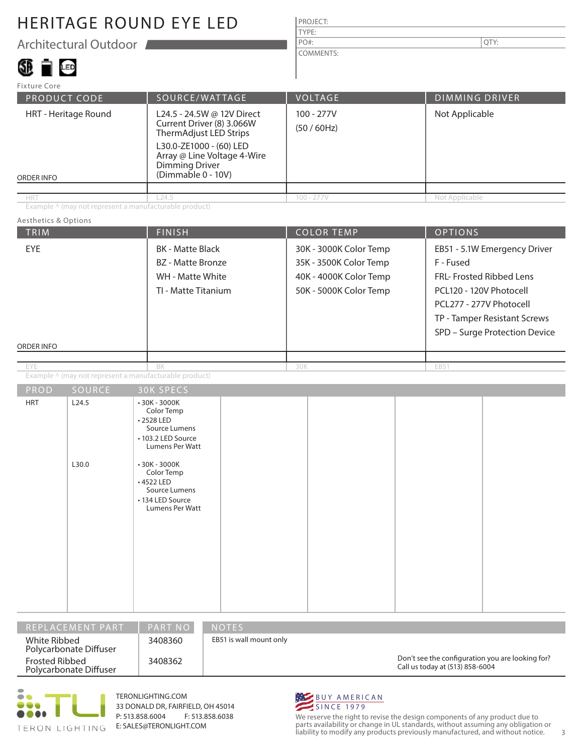Architectural Outdoor

### 38 T G

| PROJECT: |  |
|----------|--|
| TYPE:    |  |
| $PO#$ :  |  |

COMMENTS:

PRODUCT CODE SOURCE/WATTAGE VOLTAGE DIMMING DRIVER ORDER INFO Fixture Core HRT - Heritage Round 100 - 277V (50 / 60Hz) Not Applicable HRT 100 - 277V Not Applicable L24.5 - 24.5W @ 12V Direct Current Driver (8) 3.066W ThermAdjust LED Strips L30.0-ZE1000 - (60) LED Array @ Line Voltage 4-Wire Dimming Driver (Dimmable 0 - 10V) L24.5

Example ^ (may not represent a manufacturable product)

#### Aesthetics & Options

|                | <b>FINISH</b>                                                                                                                                                                    |                                                                                                                        |     |                                                                                                      |           |                                                                                                                                  |
|----------------|----------------------------------------------------------------------------------------------------------------------------------------------------------------------------------|------------------------------------------------------------------------------------------------------------------------|-----|------------------------------------------------------------------------------------------------------|-----------|----------------------------------------------------------------------------------------------------------------------------------|
|                | <b>BK</b> - Matte Black<br><b>BZ</b> - Matte Bronze<br>WH - Matte White<br>TI - Matte Titanium                                                                                   |                                                                                                                        |     |                                                                                                      | F - Fused | EB51 - 5.1W Emergency Driver<br><b>FRL- Frosted Ribbed Lens</b><br>TP - Tamper Resistant Screws<br>SPD - Surge Protection Device |
|                |                                                                                                                                                                                  |                                                                                                                        |     |                                                                                                      |           |                                                                                                                                  |
|                |                                                                                                                                                                                  |                                                                                                                        |     |                                                                                                      |           |                                                                                                                                  |
|                |                                                                                                                                                                                  |                                                                                                                        |     |                                                                                                      |           |                                                                                                                                  |
|                |                                                                                                                                                                                  |                                                                                                                        |     |                                                                                                      |           |                                                                                                                                  |
| L24.5<br>L30.0 | Color Temp<br>•2528 LED<br>Source Lumens<br>• 103.2 LED Source<br>Lumens Per Watt<br>$-30K - 3000K$<br>Color Temp<br>$\cdot$ 4522 LED<br>Source Lumens<br><b>Lumens Per Watt</b> |                                                                                                                        |     |                                                                                                      |           |                                                                                                                                  |
|                | SOURCE                                                                                                                                                                           | BK<br>Example ^ (may not represent a manufacturable product)<br><b>30K SPECS</b><br>$-30K - 3000K$<br>• 134 LED Source | 30K | 30K - 3000K Color Temp<br>35K - 3500K Color Temp<br>40K - 4000K Color Temp<br>50K - 5000K Color Temp |           | <b>OPTIONS</b><br><b>COLOR TEMP</b><br>PCL120 - 120V Photocell<br>PCL277 - 277V Photocell<br>EB51                                |

| I REPLACEMENT PART'                             | <b>PART NO</b> | <b>NOTES</b>                                                                        |
|-------------------------------------------------|----------------|-------------------------------------------------------------------------------------|
| White Ribbed<br>Polycarbonate Diffuser          | 3408360        | EB51 is wall mount only                                                             |
| <b>Frosted Ribbed</b><br>Polycarbonate Diffuser | 3408362        | Don't see the configuration you are looking for?<br>Call us today at (513) 858-6004 |



TERONLIGHTING.COM 33 DONALD DR, FAIRFIELD, OH 45014 P: 513.858.6004 F: 513.858.6038 E: SALES@TERONLIGHT.COM



We reserve the right to revise the design components of any product due to parts availability or change in UL standards, without assuming any obligation or liability to modify any products previously manufactured, and without notice. 3